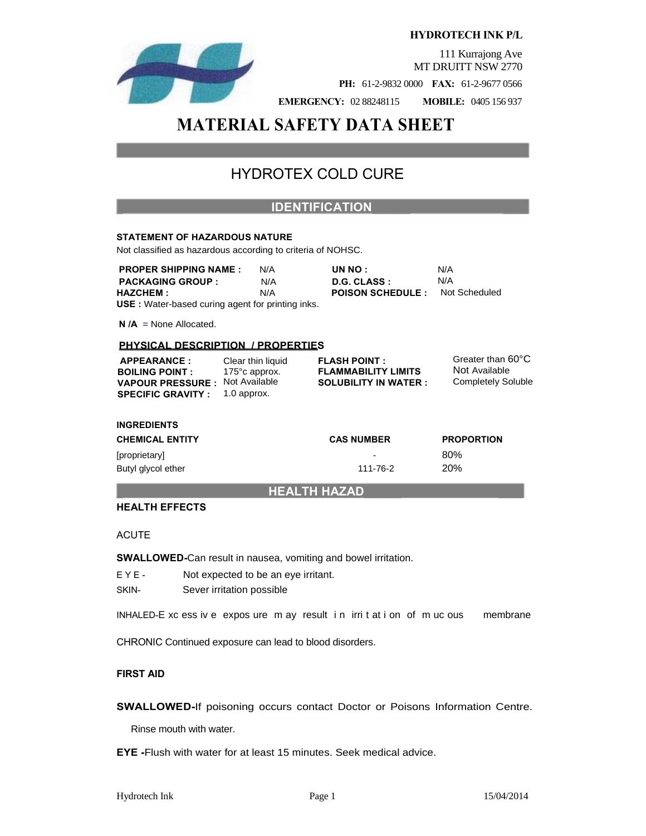

**HYDROTECH INK P/L** 

111 Kurrajong Ave MT DRUITT NSW 2770

**PH:** 61-2-9832 0000 **FAX:** 61-2-9677 0566

**EMERGENCY:** 02 88248115 **MOBILE:** 0405 156 937

# **MATERIAL SAFETY DATA SHEET**

# HYDROTEX COLD CURE

### **\_ IDENTIFICATION\_\_\_\_\_\_ \_\_\_\_**

#### **STATEMENT OF HAZARDOUS NATURE**

Not classified as hazardous according to criteria of NOHSC.

**PROPER SHIPPING NAME :** N/A **UN NO :** N/A **PACKAGING GROUP :** N/A **D.G. CLASS :** N/A **HAZCHEM :** N/A **POISON SCHEDULE :** Not Scheduled **USE :** Water-based curing agent for printing inks.

**N /A** = None Allocated.

#### **PHYSICAL DESCRIPTION / PROPERTIES**

| <b>APPEARANCE:</b>                                                 | Clear thin liquid        | <b>FLASH POINT:</b>                                       | Greater than 60°C                          |
|--------------------------------------------------------------------|--------------------------|-----------------------------------------------------------|--------------------------------------------|
| <b>BOILING POINT:</b>                                              | 175 $^{\circ}$ c approx. | <b>FLAMMABILITY LIMITS</b><br><b>SOLUBILITY IN WATER:</b> | Not Available<br><b>Completely Soluble</b> |
| <b>VAPOUR PRESSURE: Not Available</b><br><b>SPECIFIC GRAVITY :</b> | 1.0 approx.              |                                                           |                                            |

#### **INGREDIENTS**

| <b>CHEMICAL ENTITY</b> | <b>CAS NUMBER</b>        | <b>PROPORTION</b> |
|------------------------|--------------------------|-------------------|
| [proprietary]          | $\overline{\phantom{0}}$ | 80%               |
| Butyl glycol ether     | 111-76-2                 | <b>20%</b>        |

#### **\_ HEALTH HAZAD\_\_\_\_\_\_ \_\_\_\_**

#### **HEALTH EFFECTS**

#### ACUTE

**SWALLOWED-**Can result in nausea, vomiting and bowel irritation.

- E Y E Not expected to be an eye irritant.
- SKIN- Sever irritation possible

INHALED-E xc ess iv e expos ure m ay result in irrit at i on of m uc ous membrane

CHRONIC Continued exposure can lead to blood disorders.

#### **FIRST AID**

**SWALLOWED-**If poisoning occurs contact Doctor or Poisons Information Centre.

Rinse mouth with water.

**EYE -**Flush with water for at least 15 minutes. Seek medical advice.